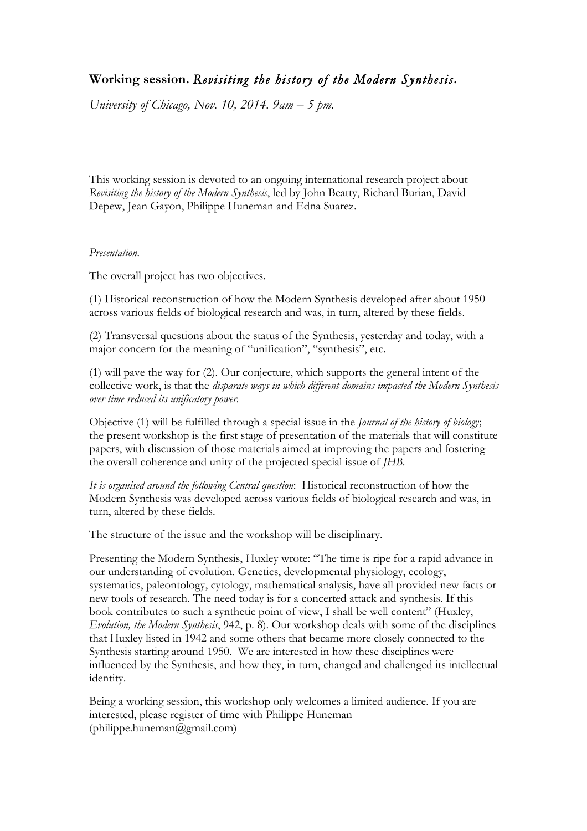## **Working session.** *Revisiting the history of the Modern Synthesis***.**

*University of Chicago, Nov. 10, 2014. 9am – 5 pm.*

This working session is devoted to an ongoing international research project about *Revisiting the history of the Modern Synthesis*, led by John Beatty, Richard Burian, David Depew, Jean Gayon, Philippe Huneman and Edna Suarez.

## *Presentation.*

The overall project has two objectives.

(1) Historical reconstruction of how the Modern Synthesis developed after about 1950 across various fields of biological research and was, in turn, altered by these fields.

(2) Transversal questions about the status of the Synthesis, yesterday and today, with a major concern for the meaning of "unification", "synthesis", etc.

(1) will pave the way for (2). Our conjecture, which supports the general intent of the collective work, is that the *disparate ways in which different domains impacted the Modern Synthesis over time reduced its unificatory power.*

Objective (1) will be fulfilled through a special issue in the *Journal of the history of biology*; the present workshop is the first stage of presentation of the materials that will constitute papers, with discussion of those materials aimed at improving the papers and fostering the overall coherence and unity of the projected special issue of *JHB*.

*It is organised around the following Central question*: Historical reconstruction of how the Modern Synthesis was developed across various fields of biological research and was, in turn, altered by these fields.

The structure of the issue and the workshop will be disciplinary.

Presenting the Modern Synthesis, Huxley wrote: "The time is ripe for a rapid advance in our understanding of evolution. Genetics, developmental physiology, ecology, systematics, paleontology, cytology, mathematical analysis, have all provided new facts or new tools of research. The need today is for a concerted attack and synthesis. If this book contributes to such a synthetic point of view, I shall be well content" (Huxley, *Evolution, the Modern Synthesis*, 942, p. 8). Our workshop deals with some of the disciplines that Huxley listed in 1942 and some others that became more closely connected to the Synthesis starting around 1950. We are interested in how these disciplines were influenced by the Synthesis, and how they, in turn, changed and challenged its intellectual identity.

Being a working session, this workshop only welcomes a limited audience. If you are interested, please register of time with Philippe Huneman (philippe.huneman@gmail.com)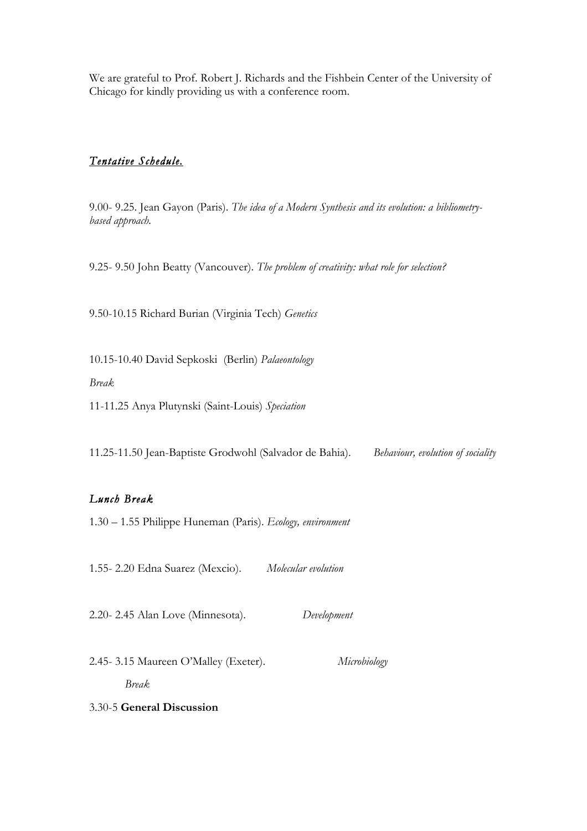We are grateful to Prof. Robert J. Richards and the Fishbein Center of the University of Chicago for kindly providing us with a conference room.

## *Tentative Schedule.*

9.00- 9.25. Jean Gayon (Paris). *The idea of a Modern Synthesis and its evolution: a bibliometrybased approach.*

9.25- 9.50 John Beatty (Vancouver). *The problem of creativity: what role for selection?*

9.50-10.15 Richard Burian (Virginia Tech) *Genetics*

10.15-10.40 David Sepkoski (Berlin) *Palaeontology*

*Break*

11-11.25 Anya Plutynski (Saint-Louis) *Speciation*

11.25-11.50 Jean-Baptiste Grodwohl (Salvador de Bahia). *Behaviour, evolution of sociality* 

## *Lunch Break*

1.30 – 1.55 Philippe Huneman (Paris). *Ecology, environment*

1.55- 2.20 Edna Suarez (Mexcio). *Molecular evolution*

2.20- 2.45 Alan Love (Minnesota). *Development*

2.45- 3.15 Maureen O'Malley (Exeter). *Microbiology Break*

3.30-5 **General Discussion**